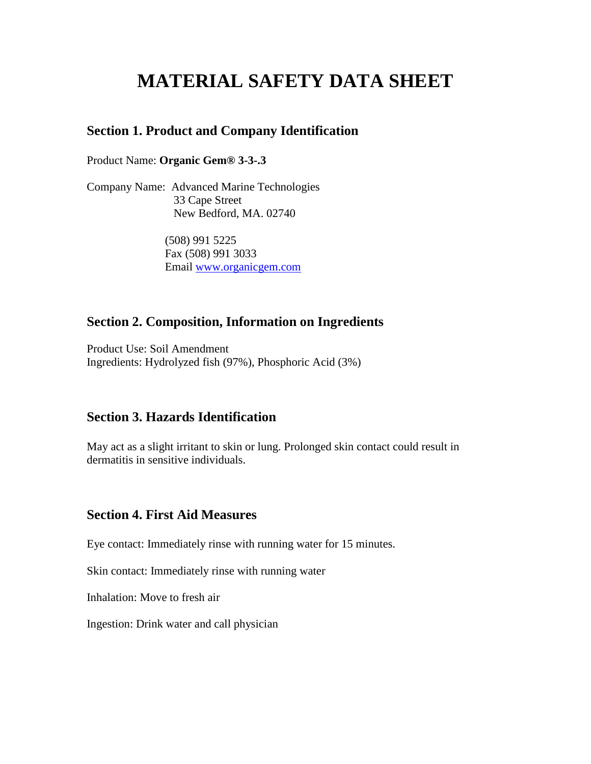# **MATERIAL SAFETY DATA SHEET**

#### **Section 1. Product and Company Identification**

Product Name: **Organic Gem® 3-3-.3**

Company Name: Advanced Marine Technologies 33 Cape Street New Bedford, MA. 02740

> (508) 991 5225 Fax (508) 991 3033 Email www.organicgem.com

### **Section 2. Composition, Information on Ingredients**

Product Use: Soil Amendment Ingredients: Hydrolyzed fish (97%), Phosphoric Acid (3%)

## **Section 3. Hazards Identification**

May act as a slight irritant to skin or lung. Prolonged skin contact could result in dermatitis in sensitive individuals.

#### **Section 4. First Aid Measures**

Eye contact: Immediately rinse with running water for 15 minutes.

Skin contact: Immediately rinse with running water

Inhalation: Move to fresh air

Ingestion: Drink water and call physician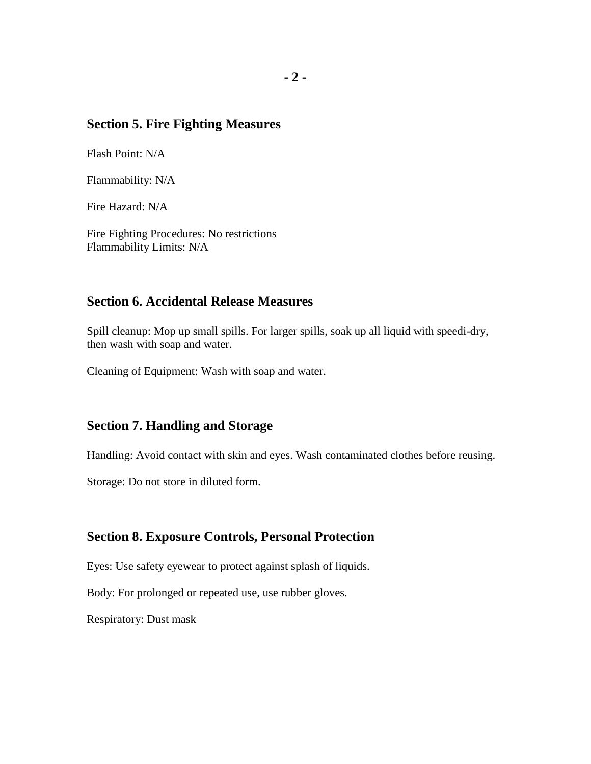## **Section 5. Fire Fighting Measures**

Flash Point: N/A

Flammability: N/A

Fire Hazard: N/A

Fire Fighting Procedures: No restrictions Flammability Limits: N/A

#### **Section 6. Accidental Release Measures**

Spill cleanup: Mop up small spills. For larger spills, soak up all liquid with speedi-dry, then wash with soap and water.

Cleaning of Equipment: Wash with soap and water.

## **Section 7. Handling and Storage**

Handling: Avoid contact with skin and eyes. Wash contaminated clothes before reusing.

Storage: Do not store in diluted form.

#### **Section 8. Exposure Controls, Personal Protection**

Eyes: Use safety eyewear to protect against splash of liquids.

Body: For prolonged or repeated use, use rubber gloves.

Respiratory: Dust mask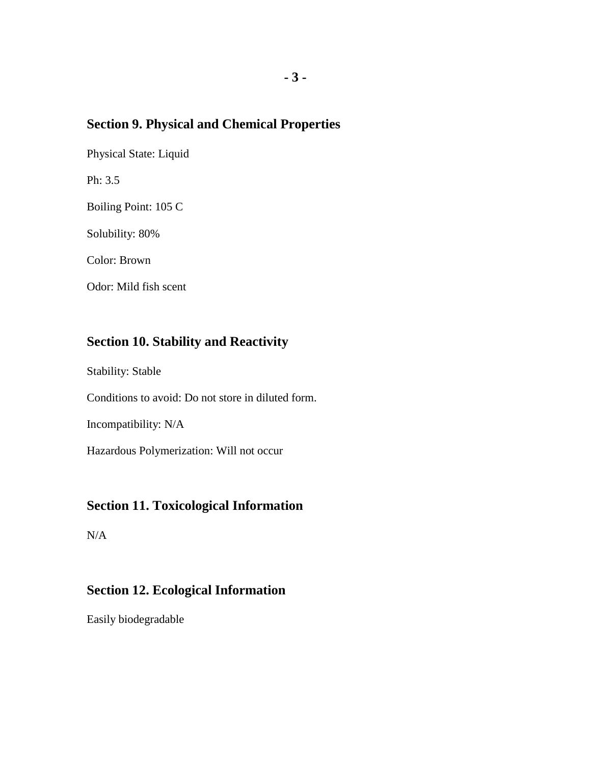# **Section 9. Physical and Chemical Properties**

Physical State: Liquid

Ph: 3.5

Boiling Point: 105 C

Solubility: 80%

Color: Brown

Odor: Mild fish scent

# **Section 10. Stability and Reactivity**

Stability: Stable

Conditions to avoid: Do not store in diluted form.

Incompatibility: N/A

Hazardous Polymerization: Will not occur

# **Section 11. Toxicological Information**

N/A

# **Section 12. Ecological Information**

Easily biodegradable